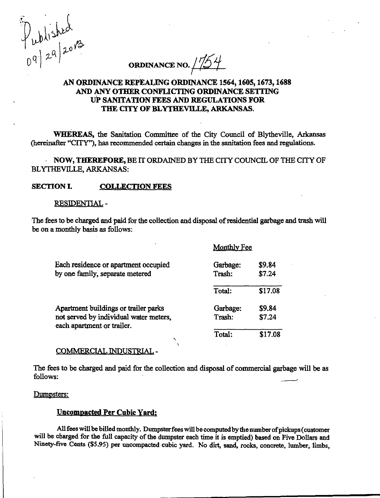Published<br>09/29/2013

ORDINANCE NO.  $1/54$ 

# AN ORDINANCE REPEALING ORDINANCE 1564,1605,1673,1688 AND ANY OTHER CONFLICTING ORDINANCE SETTING UP SANITATION FEES AND REGULATIONS FOR THE CITY OF BLYTHEVILLE, ARKANSAS.

WHEREAS, the Sanitation Committee of the City Council of Blytheville, Arkansas (hereinafter "CITY"), has recommended certain changes in the sanitation fees and regulations.

• NOW, THEREFORE, BE IT ORDAINED BY THE CITY COUNCIL OF THE CITY OF BLYTIIEVILLE, ARKANSAS:

### SECTION I. COLLECTION FEES

#### RESIDENTIAL -

The fees to be charged and paid for the collection and disposal of residential garbage and trash will be on a monthly basis as follows:

Monthly Fee

|                                                                                                              | NIOIRITHY LEE      |                  |
|--------------------------------------------------------------------------------------------------------------|--------------------|------------------|
| Each residence or apartment occupied<br>by one family, separate metered                                      | Garbage:<br>Trash: | \$9.84<br>\$7.24 |
|                                                                                                              | Total:             | \$17.08          |
| Apartment buildings or trailer parks<br>not served by individual water meters,<br>each apartment or trailer. | Garbage:<br>Trash: | \$9.84<br>\$7.24 |
|                                                                                                              | Total:             | \$17.08          |

### COMMERCIAL INDUSTRIAL -

The fees to be charged and paid for the collection and disposal of commercial garbage will be as follows:

#### Dumpsters:

## Uncompacted Per Cubic Yard:

All fees will be billed monthly. Dumpster fees will be computed by the number of pickups (customer will be charged for the full capacity of the dumpster each time it is emptied) based on Five Dollars and Ninety-five Cents (\$5.95) per uncompacted cubic yard. No dirt, sand, rocks, concrete, lumber, limbs,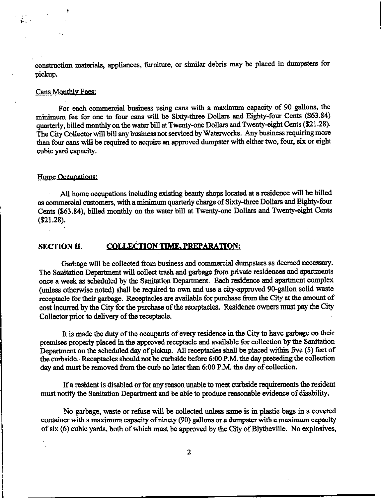construction materials, appliances, furniture, or similar debris may be placed in dumpsters for pickup.

# Cans Monthly Fees:

Ņ

For each commercial business using cans with a maximum capacity of 90 gallons, the minimum fee for one to four cans will be Sixty-three Dollars and Eighty-four Cents (\$63.84) quarterly, billed monthly on the water bill at Twenty-one Dollars and Twenty-eight Cents (\$21.28). The City Collector will bill any business not serviced by Waterworks. Any business requiring more than four cans will be required to acquire an approved dumpster with either two, four, six or eight cubic yard capacity.

### Home Occupations:

• All home occupations including existing beauty shops located at a residence will be billed as commercial customers, with a minimum quarterly charge of Sixty-three Dollars and Eighty-four Cents (\$63.84), billed monthly on the water bill at Twenty-one Dollars and Twenty-eight Cents (\$21.28).

## SECTION II. COLLECTION TIME, PREPARATION:

Garbage will be collected from business and commercial dumpsters as deemed necessary. The Sanitation Department will collect trash and garbage from private residences and apartments once a week as scheduled by the Sanitation Department. Each residence and apartment complex (unless otherwise noted) shall be required to own and use a city-approved 90-gallon solid waste receptacle for their garbage. Receptacles are available for purchase from the City at the amount of cost incurred by the City for the purchase of the receptacles. Residence owners must pay the City Collector prior to delivery of the receptacle.

It is made the duty of the occupants of every residence in the City to have garbage on their premises properly placed in the approved receptacle and available for collection by the Sanitation Department on the scheduled day of pickup. All receptacles shall be placed within five (5) feet of the curbside: Receptacles should not be curbside before 6:00 P.M. the day preceding the collection day and must be removed from the curb no later than 6:00 P.M. the day of collection.

If a resident is disabled or for any reason unable to meet curbside requirements the resident must notify the Sanitation Department and be able to produce reasonable evidence of disability.

No garbage, waste or refuse will be collected unless same is in plastic bags in a covered container with a maximum capacity of ninety (90) gallons or a dumpster with a maximum capacity of six (6) cubic yards, both of which must be approved by the City of Blytheville. No explosives,

2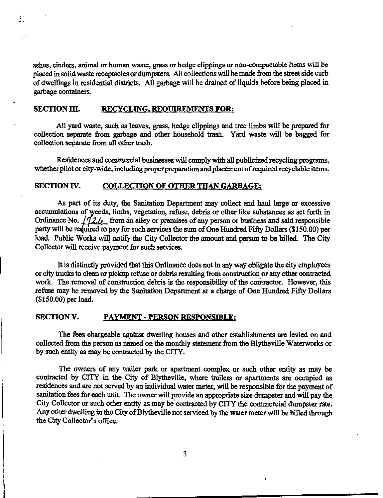ashes, cinders, animal or human waste, grass or hedge clippings or non-compactable items will be placed in solid waste receptacles or dumpsters. All collections will be made from the street side curb of dwellings in residential districts. All garbage will be drained of liquids before being placed in garbage containers.

## SECTION III. RECYCLING, REOUIREMENTS FOR:

 $\ddot{\cdot}$ 

All yard waste, such as leaves, grass, hedge clippings and tree limbs will be prepared for collection separate from garbage and other household trash. Yard waste will be bagged for collection separate from all other trash.

Residences and commercial businesses will comply with all publicized recycling programs, whether pilot or city-wide, including proper preparation and placement of required recyclable items.

### SECTION IV. COLLECTION OF OTHER THAN GARBAGE:

As part of its duty, the Sanitation Department may collect and haul large or excessive accumulations of weeds, limbs, vegetation, refuse, debris or other like substances as set forth in Ordinance No.  $\frac{1}{2}$ , from an alley or premises of any person or business and said responsible party will be required to pay for such services the sum of One Hundred Fifty Dollars (\$150.00) per load. Public Works will notify the City Collector the amount and person to be billed. The City Collector will receive payment for such services.

It is distinctly provided that this Ordinance does not in any way obligate the city employees or city trucks to clean or pickup refuse or debris resulting from construction or any other contracted work. The removal of construction debris is the responsibility of the contractor. However, this refuse may be removed by the Sanitation Department at a charge of One Hundred Fifty Dollars (\$150.00) per load.

### SECTION V. PAYMENT - PERSON RESPONSIBLE:

The fees chargeable against dwelling houses and other establishments are levied on and collected from the person as named on the monthly statement from the Blytheville Waterworks or by such entity as may be contracted by the CITY.

The owners of any trailer park or apartment complex or such other entity as may be contracted by CITY in the City of Blytheville, where trailers or apartments are occupied as residences and are not served by an individual water meter, will be responsible for the payment of sanitation fees for each unit. The owner will provide an appropriate size dumpster and will pay the City Collector or such other entity as may be contracted by CITY the commercial dumpster rate. Any other dwelling in the City of Blytheville not serviced by the water meter will be billed through the City Collector's office.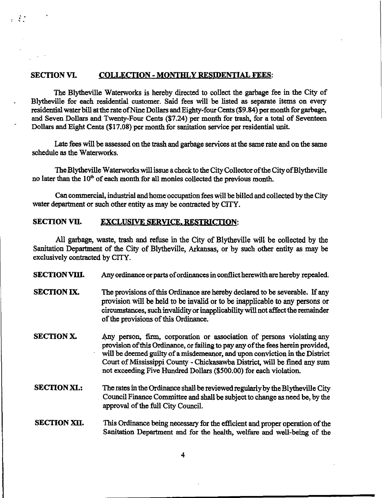## SECTION VI. COLLECTION - MONTHLY RESIDENTIAL FEES:

 $\mathcal{L}$ 

The Blytheville Waterworks is hereby directed to collect the garbage fee in the City of Blytheville for each residential customer. Said fees will be listed as separate items on every residential water bill at the rate of Nine Dollars and Eighty-four Cents (\$9.84) per month for garbage, and Seven Dollars and Twenty-Four Cents (\$7.24) per month for trash, for a total of Seventeen Dollars and Eight Cents (\$17.08) per month for sanitation service per residential unit.

Late fees will be assessed on the trash and garbage services at the same rate and on the same schedule as the Waterworks.

The Blytheville Waterworks will issue a check to the City Collector of the City of Blytheville no later than the  $10<sup>th</sup>$  of each month for all monies collected the previous month.

Can commercial, industrial and home occupation fees will be billed and collected by the City water department or such other entity as may be contracted by CITY.

# SECTION VII. EXCLUSIVE SERVICE. RESTRICTION:

All garbage, waste, trash and refuse in the City of Blytheville will be collected by the Sanitation Department of the City of Blytheville, Arkansas, or by such other entity as may be exclusively contracted by CITY.

SECTION VIII. Any ordinance or parts of ordinances in conflict herewith are hereby repealed.

- SECTION IX. The provisions of this Ordinance are hereby declared to be severable. If any provision will be held to be invalid or to be inapplicable to any persons or circumstances, such invalidity or inapplicability will not affect the remainder of the provisions of this Ordinance.
- SECTION X. Any person, firm, corporation or association of persons violating any provision of this Ordinance, or failing to pay any of the fees herein provided, will be deemed guilty of a misdemeanor, and upon conviction in the District Court of Mississippi County - Chickasawba District, will be fined any sum not exceeding Five Hundred Dollars (\$500.00) for each violation.
- SECTION XL: The rates in the Ordinance shall be reviewed regularlyby the Blytheville City Council Finance Committee and shall be subject to change as need be, by the approval of the full City Council.

# SECTION XII. This Ordinance being necessary for the efficient and proper operation of the Sanitation Department and for the health, welfare and well-being of the